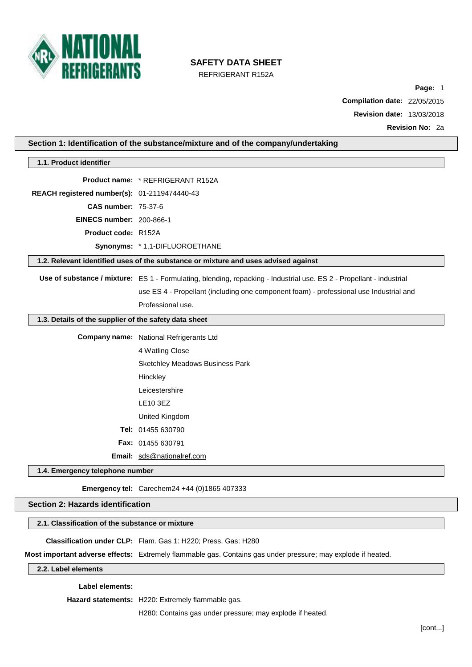

REFRIGERANT R152A

**Page:** 1

**Compilation date:** 22/05/2015 **Revision date:** 13/03/2018

**Revision No:** 2a

| 1.1. Product identifier                               |                                                                                                                      |
|-------------------------------------------------------|----------------------------------------------------------------------------------------------------------------------|
|                                                       | <b>Product name: * REFRIGERANT R152A</b>                                                                             |
| REACH registered number(s): 01-2119474440-43          |                                                                                                                      |
| <b>CAS number: 75-37-6</b>                            |                                                                                                                      |
| <b>EINECS number: 200-866-1</b>                       |                                                                                                                      |
| Product code: R152A                                   |                                                                                                                      |
|                                                       | Synonyms: * 1,1-DIFLUOROETHANE                                                                                       |
|                                                       | 1.2. Relevant identified uses of the substance or mixture and uses advised against                                   |
|                                                       | Use of substance / mixture: ES 1 - Formulating, blending, repacking - Industrial use. ES 2 - Propellant - industrial |
|                                                       | use ES 4 - Propellant (including one component foam) - professional use Industrial and                               |
|                                                       | Professional use.                                                                                                    |
| 1.3. Details of the supplier of the safety data sheet |                                                                                                                      |
|                                                       | <b>Company name:</b> National Refrigerants Ltd                                                                       |
|                                                       | 4 Watling Close                                                                                                      |
|                                                       | Sketchley Meadows Business Park                                                                                      |
|                                                       | Hinckley                                                                                                             |
|                                                       | Leicestershire                                                                                                       |
|                                                       | <b>LE10 3EZ</b>                                                                                                      |
|                                                       | United Kingdom                                                                                                       |
|                                                       | Tel: 01455 630790                                                                                                    |
|                                                       | Fax: 01455 630791                                                                                                    |
|                                                       | Email: sds@nationalref.com                                                                                           |
| 1.4. Emergency telephone number                       |                                                                                                                      |
|                                                       | Emergency tel: Carechem24 +44 (0)1865 407333                                                                         |
| <b>Section 2: Hazards identification</b>              |                                                                                                                      |
| 2.1. Classification of the substance or mixture       |                                                                                                                      |
|                                                       | Classification under CLP: Flam. Gas 1: H220; Press. Gas: H280                                                        |
|                                                       | Most important adverse effects: Extremely flammable gas. Contains gas under pressure; may explode if heated.         |

**Hazard statements:** H220: Extremely flammable gas.

H280: Contains gas under pressure; may explode if heated.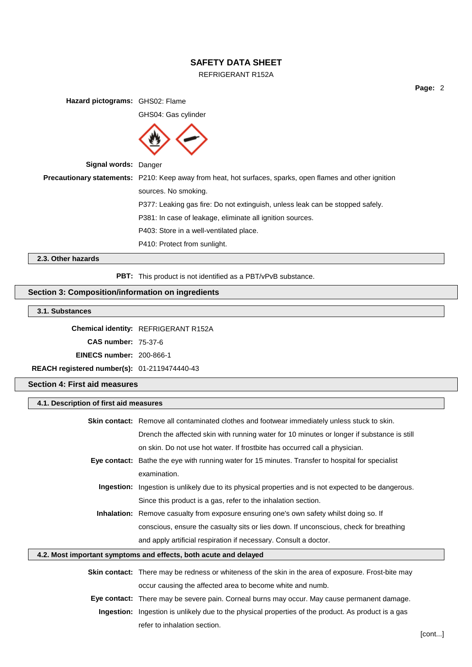# REFRIGERANT R152A

**Page:** 2

**Hazard pictograms:** GHS02: Flame

GHS04: Gas cylinder



**Signal words:** Danger

**Precautionary statements:** P210: Keep away from heat, hot surfaces, sparks, open flames and other ignition sources. No smoking. P377: Leaking gas fire: Do not extinguish, unless leak can be stopped safely. P381: In case of leakage, eliminate all ignition sources. P403: Store in a well-ventilated place.

P410: Protect from sunlight.

**2.3. Other hazards**

**PBT:** This product is not identified as a PBT/vPvB substance.

# **Section 3: Composition/information on ingredients**

# **3.1. Substances**

**Chemical identity:** REFRIGERANT R152A

**CAS number:** 75-37-6

**EINECS number:** 200-866-1

**REACH registered number(s):** 01-2119474440-43

## **Section 4: First aid measures**

| 4.1. Description of first aid measures                           |                                                                                                            |  |
|------------------------------------------------------------------|------------------------------------------------------------------------------------------------------------|--|
|                                                                  | <b>Skin contact:</b> Remove all contaminated clothes and footwear immediately unless stuck to skin.        |  |
|                                                                  | Drench the affected skin with running water for 10 minutes or longer if substance is still                 |  |
|                                                                  | on skin. Do not use hot water. If frostbite has occurred call a physician.                                 |  |
|                                                                  | Eye contact: Bathe the eye with running water for 15 minutes. Transfer to hospital for specialist          |  |
|                                                                  | examination.                                                                                               |  |
|                                                                  | Ingestion: Ingestion is unlikely due to its physical properties and is not expected to be dangerous.       |  |
|                                                                  | Since this product is a gas, refer to the inhalation section.                                              |  |
|                                                                  | Inhalation: Remove casualty from exposure ensuring one's own safety whilst doing so. If                    |  |
|                                                                  | conscious, ensure the casualty sits or lies down. If unconscious, check for breathing                      |  |
|                                                                  | and apply artificial respiration if necessary. Consult a doctor.                                           |  |
| 4.2. Most important symptoms and effects, both acute and delayed |                                                                                                            |  |
|                                                                  | <b>Skin contact:</b> There may be redness or whiteness of the skin in the area of exposure. Frost-bite may |  |
|                                                                  | occur causing the affected area to become white and numb.                                                  |  |
|                                                                  | <b>Eye contact:</b> There may be severe pain. Corneal burns may occur. May cause permanent damage.         |  |

**Ingestion:** Ingestion is unlikely due to the physical properties of the product. As product is a gas refer to inhalation section.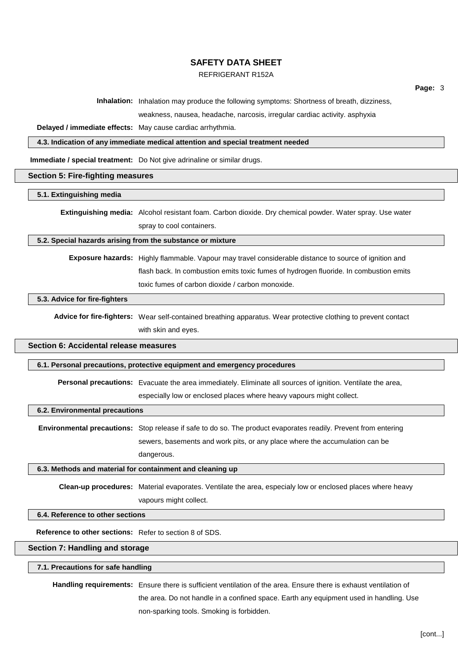# REFRIGERANT R152A

**Page:** 3

**Inhalation:** Inhalation may produce the following symptoms: Shortness of breath, dizziness,

weakness, nausea, headache, narcosis, irregular cardiac activity. asphyxia

**Delayed / immediate effects:** May cause cardiac arrhythmia.

**4.3. Indication of any immediate medical attention and special treatment needed**

**Immediate / special treatment:** Do Not give adrinaline or similar drugs.

#### **Section 5: Fire-fighting measures**

## **5.1. Extinguishing media**

**Extinguishing media:** Alcohol resistant foam. Carbon dioxide. Dry chemical powder. Water spray. Use water spray to cool containers.

#### **5.2. Special hazards arising from the substance or mixture**

**Exposure hazards:** Highly flammable. Vapour may travel considerable distance to source of ignition and flash back. In combustion emits toxic fumes of hydrogen fluoride. In combustion emits toxic fumes of carbon dioxide / carbon monoxide.

#### **5.3. Advice for fire-fighters**

**Advice for fire-fighters:** Wear self-contained breathing apparatus. Wear protective clothing to prevent contact with skin and eyes.

#### **Section 6: Accidental release measures**

#### **6.1. Personal precautions, protective equipment and emergency procedures**

**Personal precautions:** Evacuate the area immediately. Eliminate all sources of ignition. Ventilate the area,

especially low or enclosed places where heavy vapours might collect.

#### **6.2. Environmental precautions**

**Environmental precautions:** Stop release if safe to do so. The product evaporates readily. Prevent from entering sewers, basements and work pits, or any place where the accumulation can be dangerous.

#### **6.3. Methods and material for containment and cleaning up**

**Clean-up procedures:** Material evaporates. Ventilate the area, especialy low or enclosed places where heavy vapours might collect.

#### **6.4. Reference to other sections**

**Reference to other sections:** Refer to section 8 of SDS.

#### **Section 7: Handling and storage**

#### **7.1. Precautions for safe handling**

**Handling requirements:** Ensure there is sufficient ventilation of the area. Ensure there is exhaust ventilation of the area. Do not handle in a confined space. Earth any equipment used in handling. Use non-sparking tools. Smoking is forbidden.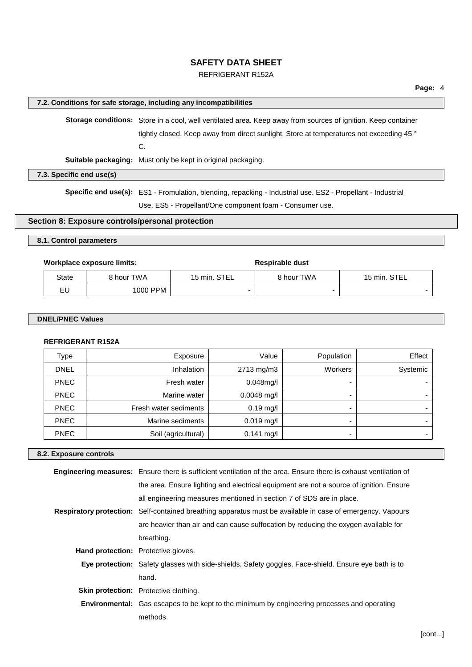# REFRIGERANT R152A

## **7.2. Conditions for safe storage, including any incompatibilities**

**Storage conditions:** Store in a cool, well ventilated area. Keep away from sources of ignition. Keep container tightly closed. Keep away from direct sunlight. Store at temperatures not exceeding 45 ° C. **Suitable packaging:** Must only be kept in original packaging.

**7.3. Specific end use(s)**

**Specific end use(s):** ES1 - Fromulation, blending, repacking - Industrial use. ES2 - Propellant - Industrial Use. ES5 - Propellant/One component foam - Consumer use.

# **Section 8: Exposure controls/personal protection**

## **8.1. Control parameters**

### **Workplace** exposure limits: **Respirable** dust

State 8 hour TWA 15 min. STEL 8 hour TWA 15 min. STEL EU 1000 PPM - - -

## **DNEL/PNEC Values**

## **REFRIGERANT R152A**

| Type        | Exposure              | Value         | Population | Effect   |
|-------------|-----------------------|---------------|------------|----------|
| <b>DNEL</b> | Inhalation            | 2713 mg/m3    | Workers    | Systemic |
| <b>PNEC</b> | Fresh water           | $0.048$ mg/l  |            |          |
| <b>PNEC</b> | Marine water          | $0.0048$ mg/l | -          |          |
| <b>PNEC</b> | Fresh water sediments | $0.19$ mg/l   |            |          |
| <b>PNEC</b> | Marine sediments      | $0.019$ mg/l  |            |          |
| <b>PNEC</b> | Soil (agricultural)   | $0.141$ mg/l  |            |          |

## **8.2. Exposure controls**

|                                            | Engineering measures: Ensure there is sufficient ventilation of the area. Ensure there is exhaust ventilation of  |
|--------------------------------------------|-------------------------------------------------------------------------------------------------------------------|
|                                            | the area. Ensure lighting and electrical equipment are not a source of ignition. Ensure                           |
|                                            | all engineering measures mentioned in section 7 of SDS are in place.                                              |
|                                            | <b>Respiratory protection:</b> Self-contained breathing apparatus must be available in case of emergency. Vapours |
|                                            | are heavier than air and can cause suffocation by reducing the oxygen available for                               |
|                                            | breathing.                                                                                                        |
| <b>Hand protection:</b> Protective gloves. |                                                                                                                   |
|                                            | Eye protection: Safety glasses with side-shields. Safety goggles. Face-shield. Ensure eye bath is to              |
|                                            | hand.                                                                                                             |
|                                            | <b>Skin protection:</b> Protective clothing.                                                                      |
|                                            | <b>Environmental:</b> Gas escapes to be kept to the minimum by engineering processes and operating                |
|                                            | methods.                                                                                                          |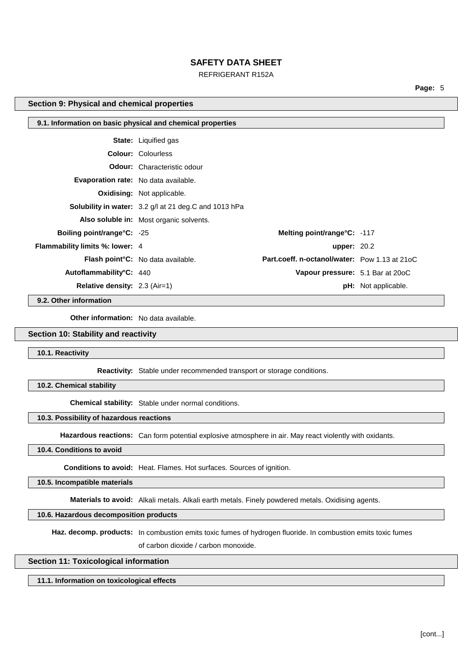## REFRIGERANT R152A

**Page:** 5

## **Section 9: Physical and chemical properties**

| 9.1. Information on basic physical and chemical properties |                                                              |                                                      |                            |
|------------------------------------------------------------|--------------------------------------------------------------|------------------------------------------------------|----------------------------|
|                                                            | <b>State:</b> Liquified gas                                  |                                                      |                            |
|                                                            | <b>Colour: Colourless</b>                                    |                                                      |                            |
|                                                            | <b>Odour:</b> Characteristic odour                           |                                                      |                            |
| <b>Evaporation rate:</b> No data available.                |                                                              |                                                      |                            |
|                                                            | <b>Oxidising: Not applicable.</b>                            |                                                      |                            |
|                                                            | <b>Solubility in water:</b> 3.2 g/l at 21 deg.C and 1013 hPa |                                                      |                            |
|                                                            | <b>Also soluble in:</b> Most organic solvents.               |                                                      |                            |
| <b>Boiling point/range°C:</b> -25                          |                                                              | Melting point/range°C: -117                          |                            |
| <b>Flammability limits %: lower: 4</b>                     |                                                              | <b>upper: 20.2</b>                                   |                            |
|                                                            | <b>Flash point °C:</b> No data available.                    | <b>Part.coeff. n-octanol/water:</b> Pow 1.13 at 21oC |                            |
| Autoflammability°C: 440                                    |                                                              | Vapour pressure: 5.1 Bar at 20oC                     |                            |
| <b>Relative density:</b> $2.3$ (Air=1)                     |                                                              |                                                      | <b>pH:</b> Not applicable. |

**9.2. Other information**

**Other information:** No data available.

# **Section 10: Stability and reactivity**

**10.1. Reactivity**

**Reactivity:** Stable under recommended transport or storage conditions.

**10.2. Chemical stability**

**Chemical stability:** Stable under normal conditions.

#### **10.3. Possibility of hazardous reactions**

**Hazardous reactions:** Can form potential explosive atmosphere in air. May react violently with oxidants.

# **10.4. Conditions to avoid**

**Conditions to avoid:** Heat. Flames. Hot surfaces. Sources of ignition.

**10.5. Incompatible materials**

**Materials to avoid:** Alkali metals. Alkali earth metals. Finely powdered metals. Oxidising agents.

# **10.6. Hazardous decomposition products**

**Haz. decomp. products:** In combustion emits toxic fumes of hydrogen fluoride. In combustion emits toxic fumes

of carbon dioxide / carbon monoxide.

# **Section 11: Toxicological information**

**11.1. Information on toxicological effects**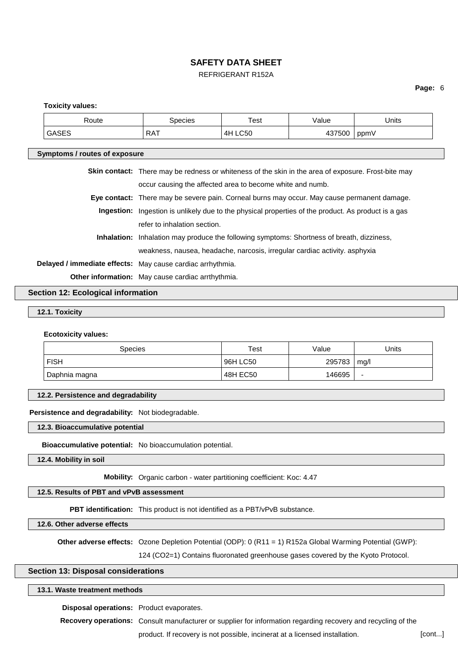# REFRIGERANT R152A

## **Page:** 6

#### **Toxicity values:**

| Route                                                      | <b>Species</b>                                                                                             | Test    | Value  | Units |  |
|------------------------------------------------------------|------------------------------------------------------------------------------------------------------------|---------|--------|-------|--|
| <b>GASES</b>                                               | <b>RAT</b>                                                                                                 | 4H LC50 | 437500 | ppmV  |  |
| Symptoms / routes of exposure                              |                                                                                                            |         |        |       |  |
|                                                            |                                                                                                            |         |        |       |  |
|                                                            | <b>Skin contact:</b> There may be redness or whiteness of the skin in the area of exposure. Frost-bite may |         |        |       |  |
|                                                            | occur causing the affected area to become white and numb.                                                  |         |        |       |  |
|                                                            | Eye contact: There may be severe pain. Corneal burns may occur. May cause permanent damage.                |         |        |       |  |
|                                                            | <b>Ingestion:</b> Ingestion is unlikely due to the physical properties of the product. As product is a gas |         |        |       |  |
|                                                            | refer to inhalation section.                                                                               |         |        |       |  |
| Inhalation:                                                | Inhalation may produce the following symptoms: Shortness of breath, dizziness,                             |         |        |       |  |
|                                                            | weakness, nausea, headache, narcosis, irregular cardiac activity. asphyxia                                 |         |        |       |  |
| Delayed / immediate effects: May cause cardiac arrhythmia. |                                                                                                            |         |        |       |  |
|                                                            | Other information: May cause cardiac arrthythmia.                                                          |         |        |       |  |

# **Section 12: Ecological information**

# **12.1. Toxicity**

#### **Ecotoxicity values:**

| Species       | Test       | Value  | Jnits |
|---------------|------------|--------|-------|
| <b>FISH</b>   | ' 96H LC50 | 295783 | mg/l  |
| Daphnia magna | 48H EC50   | 146695 | -     |

#### **12.2. Persistence and degradability**

#### **Persistence and degradability:** Not biodegradable.

**12.3. Bioaccumulative potential**

**Bioaccumulative potential:** No bioaccumulation potential.

**12.4. Mobility in soil**

#### **Mobility:** Organic carbon - water partitioning coefficient: Koc: 4.47

## **12.5. Results of PBT and vPvB assessment**

**PBT identification:** This product is not identified as a PBT/vPvB substance.

**12.6. Other adverse effects**

**Other adverse effects:** Ozone Depletion Potential (ODP): 0 (R11 = 1) R152a Global Warming Potential (GWP):

124 (CO2=1) Contains fluoronated greenhouse gases covered by the Kyoto Protocol.

## **Section 13: Disposal considerations**

## **13.1. Waste treatment methods**

**Disposal operations:** Product evaporates.

**Recovery operations:** Consult manufacturer or supplier for information regarding recovery and recycling of the

product. If recovery is not possible, incinerat at a licensed installation. [cont...]